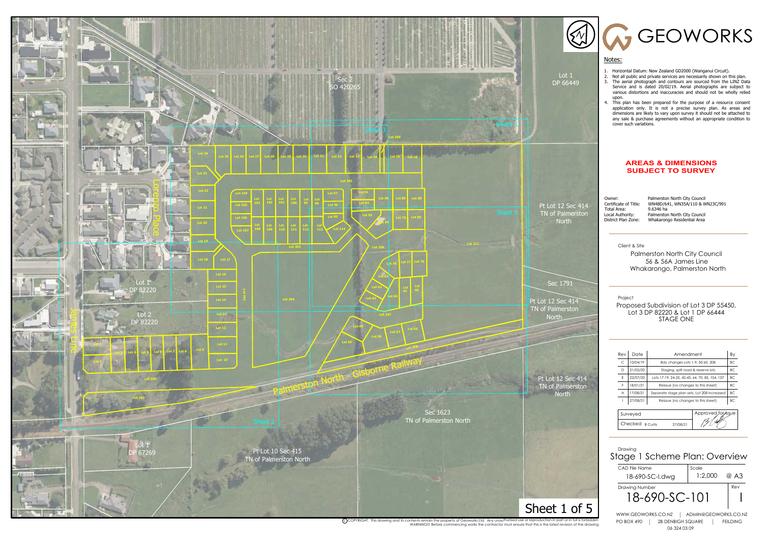B Curtis 27/08/21

TI [<del>1</del>]

Project

Checked **B** Curtis

Client & Site



Palmerston North City Council 56 & 56A James Line Whakarongo, Palmerston North

Proposed Subdivision of Lot 3 DP 55450, Lot 3 DP 82220 & Lot 1 DP 66444 STAGE ONE

## **AREAS & DIMENSIONS SUBJECT TO SURVEY**

Total Area:<br>Local Authority:

Owner: Palmerston North City Council<br>Certificate of Title: WN48D/641, WN35A/110 & W WN48D/641, WN35A/110 & WN23C/991<br>9.6346 ha Local Authority: Palmerston North City Council Whakarongo Residential Area



C)COPYRIGHT. This drawing and its contents remain the property of Geoworks Ltd. Any unauthorised use or reproduction in part or in full is forbidden<br>WARNING!!! Before commencing works the contractor must ensure that this i

### Notes:

| Rev                                   | Date     | Amendment                                      |  |  |
|---------------------------------------|----------|------------------------------------------------|--|--|
| C                                     | 10/04/19 | Bdy changes Lots 1-9, 50-60, 208               |  |  |
| D                                     | 21/02/20 | Staging, split road & reserve lots             |  |  |
| E                                     | 22/07/20 | Lots 17-19, 24-25, 42-43, 64, 70, 85, 104, 107 |  |  |
| F                                     | 18/01/21 | Reissue (no changes to this sheet)             |  |  |
| H                                     | 17/08/21 | Separate stage plan sets, Lot 208 increased    |  |  |
|                                       | 27/08/21 | Reissue (no changes to this sheet)             |  |  |
|                                       |          |                                                |  |  |
| Approved for <i>issue</i><br>Surveyed |          |                                                |  |  |

- 1. Horizontal Datum: New Zealand GD2000 (Wanganui Circuit).
- 2. Not all public and private services are necessarily shown on this plan. 3. The aerial photograph and contours are sourced from the LINZ Data Service and is dated 20/02/19. Aerial photographs are subject to various distortions and inaccuracies and should not be wholly relied upon.

GEOWORKS

4. This plan has been prepared for the purpose of a resource consent application only. It is not a precise survey plan. As areas and dimensions are likely to vary upon survey it should not be attached to any sale & purchase agreements without an appropriate condition to cover such variations.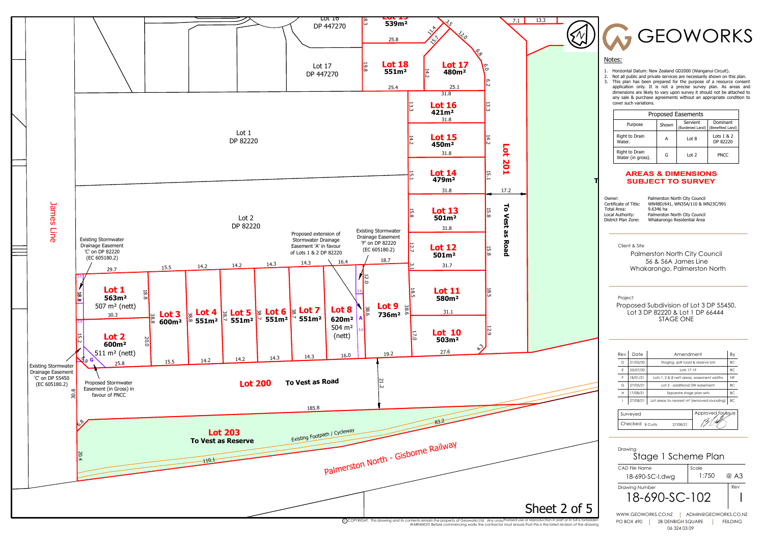

Project

Client & Site

# **To Vest as Reserve SUBJECT TO SURVEY AREAS & DIMENSIONS**

Total Area:<br>1.634 Authority:

Owner: Palmerston North City Council<br>Certificate of Title: WN48D/641, WN35A/110 & W WN48D/641, WN35A/110 & WN23C/991<br>9.6346 ha Local Authority: Palmerston North City Council Whakarongo Residential Area



Palmerston North City Council 56 & 56A James Line Whakarongo, Palmerston North

Proposed Subdivision of Lot 3 DP 55450, Lot 3 DP 82220 & Lot 1 DP 66444 STAGE ONE

| Surveyed         |        |  |
|------------------|--------|--|
| Checked B Curtis | 708721 |  |

## Notes:

| Date     | Amendment                                              |                     |  |  |
|----------|--------------------------------------------------------|---------------------|--|--|
| 21/02/20 | Staging, split road & reserve lots                     |                     |  |  |
| 22/07/20 | Lots 17-19                                             |                     |  |  |
| 18/01/21 | Lots 1, 2 & 8 nett areas, easement widths              |                     |  |  |
| 27/05/21 | Lot 2 - additional SW easement                         |                     |  |  |
| 17/08/21 | Separate stage plan sets                               |                     |  |  |
| 27/08/21 | Lot areas to nearest m <sup>2</sup> (removed rounding) |                     |  |  |
|          |                                                        |                     |  |  |
|          |                                                        | Annroved for seu le |  |  |

- 1. Horizontal Datum: New Zealand GD2000 (Wanganui Circuit).
- 2. Not all public and private services are necessarily shown on this plan. 3. This plan has been prepared for the purpose of a resource consent application only. It is not a precise survey plan. As areas and dimensions are likely to vary upon survey it should not be attached to any sale & purchase agreements without an appropriate condition to cover such variations.

GEOWORKS

| Proposed Easements                  |       |                             |                              |
|-------------------------------------|-------|-----------------------------|------------------------------|
| Purpose                             | Shown | Servient<br>(Burdened Land) | Dominant<br>(Benefited Land) |
| Right to Drain<br>Water.            | А     | Lot 8                       | Lots $1 & 2$<br>DP 82220     |
| Right to Drain<br>Water (in gross). | G     | Lot 2                       | <b>PNCC</b>                  |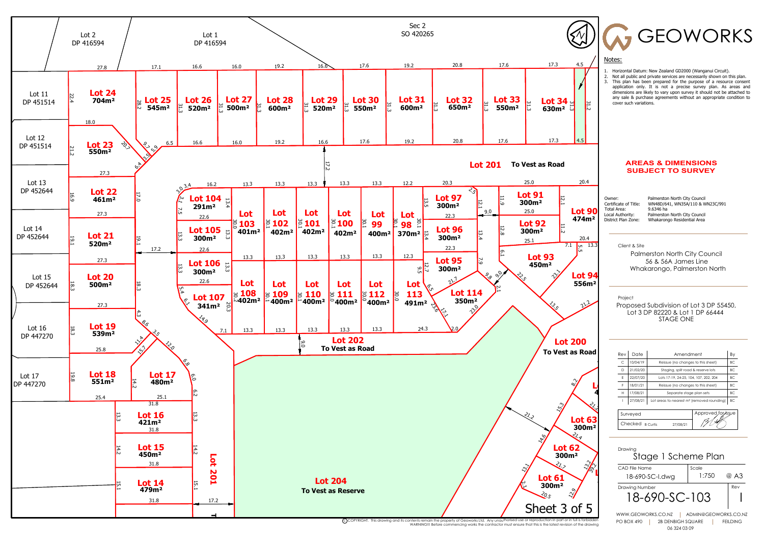

|                                    | GEOWORKS                                                                                                                                                                                                                                                                                                                                                                                                                                                                |                 |
|------------------------------------|-------------------------------------------------------------------------------------------------------------------------------------------------------------------------------------------------------------------------------------------------------------------------------------------------------------------------------------------------------------------------------------------------------------------------------------------------------------------------|-----------------|
| 4.5                                | Notes:                                                                                                                                                                                                                                                                                                                                                                                                                                                                  |                 |
|                                    | 1.<br>Horizontal Datum: New Zealand GD2000 (Wanganui Circuit).<br>Not all public and private services are necessarily shown on this plan.<br>2.<br>This plan has been prepared for the purpose of a resource consent<br>3.<br>application only. It is not a precise survey plan. As areas and<br>dimensions are likely to vary upon survey it should not be attached to<br>any sale & purchase agreements without an appropriate condition to<br>cover such variations. |                 |
|                                    |                                                                                                                                                                                                                                                                                                                                                                                                                                                                         |                 |
| 20.4                               | <b>AREAS &amp; DIMENSIONS</b><br><b>SUBJECT TO SURVEY</b>                                                                                                                                                                                                                                                                                                                                                                                                               |                 |
| ot 90<br>74m <sup>2</sup>          | Owner:<br>Palmerston North City Council<br>WN48D/641, WN35A/110 & WN23C/991<br>Certificate of Title:<br>9.6346 ha<br>Total Area:<br>Local Authority:<br>Palmerston North City Council<br>District Plan Zone:<br>Whakarongo Residential Area                                                                                                                                                                                                                             |                 |
| 20.4                               |                                                                                                                                                                                                                                                                                                                                                                                                                                                                         |                 |
| 13.3<br>GП<br>üп                   | Client & Site<br>Palmerston North City Council<br>56 & 56A James Line<br>Whakarongo, Palmerston North                                                                                                                                                                                                                                                                                                                                                                   |                 |
| ot 9<br>56m <sup>2</sup>           |                                                                                                                                                                                                                                                                                                                                                                                                                                                                         |                 |
|                                    | Project<br>Proposed Subdivision of Lot 3 DP 55450,<br>Lot 3 DP 82220 & Lot 1 DP 66444<br>STAGE ONE                                                                                                                                                                                                                                                                                                                                                                      |                 |
| UO.                                |                                                                                                                                                                                                                                                                                                                                                                                                                                                                         |                 |
| <b>Road</b>                        | Date<br>Rev<br>Amendment                                                                                                                                                                                                                                                                                                                                                                                                                                                | Вy              |
|                                    | C<br>10/04/19<br>Reissue (no changes to this sheet)<br>21/02/20<br>D<br>Staging, split road & reserve lots                                                                                                                                                                                                                                                                                                                                                              | ВC<br>ВC        |
|                                    | Ε<br>22/07/20<br>Lots 17-19, 24-25, 104, 107, 202, 204                                                                                                                                                                                                                                                                                                                                                                                                                  | ВC              |
|                                    | F<br>18/01/21<br>Reissue (no changes to this sheet)<br>н<br>17/08/21<br>Separate stage plan sets                                                                                                                                                                                                                                                                                                                                                                        | ВC<br>ВC        |
|                                    | L<br>27/08/21<br>Lot areas to nearest m <sup>2</sup> (removed rounding)                                                                                                                                                                                                                                                                                                                                                                                                 | ВC              |
| Dτ                                 | Approved for issue<br>Surveyed<br>Checked B Curtis<br>27/08/21                                                                                                                                                                                                                                                                                                                                                                                                          |                 |
| 00m <sup>2</sup>                   |                                                                                                                                                                                                                                                                                                                                                                                                                                                                         |                 |
| :9                                 | Drawing<br>Stage 1 Scheme Plan                                                                                                                                                                                                                                                                                                                                                                                                                                          |                 |
|                                    | <b>CAD File Name</b><br>Scale                                                                                                                                                                                                                                                                                                                                                                                                                                           |                 |
|                                    | 1:750<br>18-690-SC-I.dwg                                                                                                                                                                                                                                                                                                                                                                                                                                                | @ A3            |
|                                    | Drawing Number<br>18-690-SC-103                                                                                                                                                                                                                                                                                                                                                                                                                                         | Rev             |
| f 5<br>is forbidden<br>the drawing | WWW.GEOWORKS.CO.NZ<br>ADMIN@GEOWORKS.CO.NZ<br><b>PO BOX 490</b><br><b>2B DENBIGH SQUARE</b><br>06 324 03 09                                                                                                                                                                                                                                                                                                                                                             | <b>FEILDING</b> |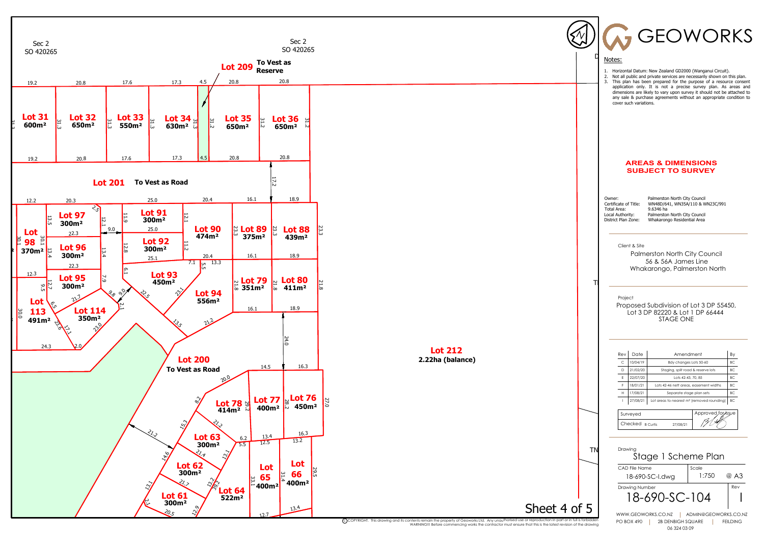

C)COPYRIGHT. This drawing and its contents remain the property of Geoworks Ltd. Any unauthorised use or reproduction in part or in full is forbidden<br>WARNING!!! Before commencing works the contractor must ensure that this i